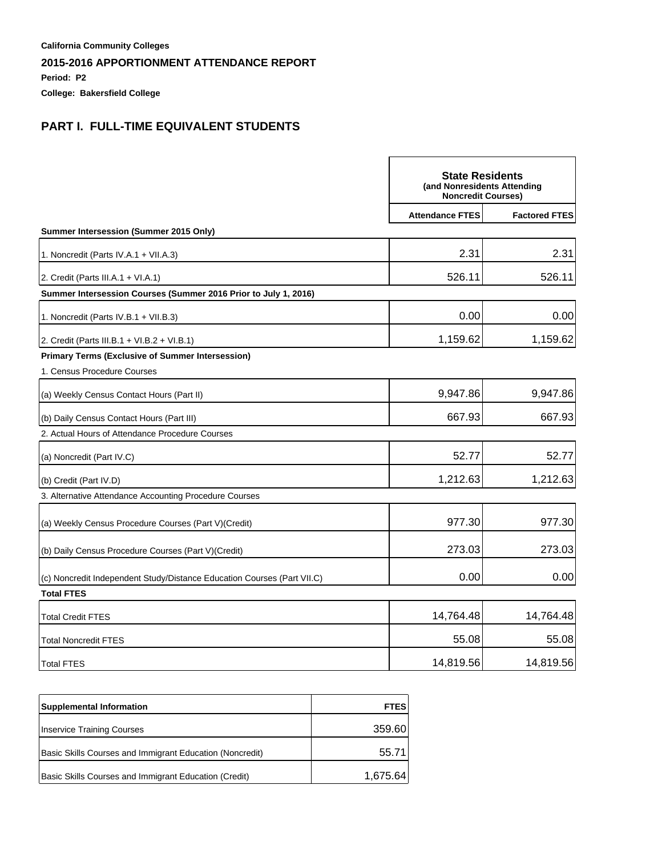**Period: P2**

**College: Bakersfield College**

# **PART I. FULL-TIME EQUIVALENT STUDENTS**

|                                                                         |                        | <b>State Residents</b><br>(and Nonresidents Attending<br><b>Noncredit Courses)</b> |  |
|-------------------------------------------------------------------------|------------------------|------------------------------------------------------------------------------------|--|
|                                                                         | <b>Attendance FTES</b> | <b>Factored FTES</b>                                                               |  |
| Summer Intersession (Summer 2015 Only)                                  |                        |                                                                                    |  |
| 1. Noncredit (Parts IV.A.1 + VII.A.3)                                   | 2.31                   | 2.31                                                                               |  |
| 2. Credit (Parts III.A.1 + VI.A.1)                                      | 526.11                 | 526.11                                                                             |  |
| Summer Intersession Courses (Summer 2016 Prior to July 1, 2016)         |                        |                                                                                    |  |
| 1. Noncredit (Parts IV.B.1 + VII.B.3)                                   | 0.00                   | 0.00                                                                               |  |
| 2. Credit (Parts III.B.1 + VI.B.2 + VI.B.1)                             | 1,159.62               | 1,159.62                                                                           |  |
| <b>Primary Terms (Exclusive of Summer Intersession)</b>                 |                        |                                                                                    |  |
| 1. Census Procedure Courses                                             |                        |                                                                                    |  |
| (a) Weekly Census Contact Hours (Part II)                               | 9,947.86               | 9,947.86                                                                           |  |
| (b) Daily Census Contact Hours (Part III)                               | 667.93                 | 667.93                                                                             |  |
| 2. Actual Hours of Attendance Procedure Courses                         |                        |                                                                                    |  |
| (a) Noncredit (Part IV.C)                                               | 52.77                  | 52.77                                                                              |  |
| (b) Credit (Part IV.D)                                                  | 1,212.63               | 1,212.63                                                                           |  |
| 3. Alternative Attendance Accounting Procedure Courses                  |                        |                                                                                    |  |
| (a) Weekly Census Procedure Courses (Part V) (Credit)                   | 977.30                 | 977.30                                                                             |  |
| (b) Daily Census Procedure Courses (Part V) (Credit)                    | 273.03                 | 273.03                                                                             |  |
| (c) Noncredit Independent Study/Distance Education Courses (Part VII.C) | 0.00                   | 0.00                                                                               |  |
| <b>Total FTES</b>                                                       |                        |                                                                                    |  |
| <b>Total Credit FTES</b>                                                | 14,764.48              | 14,764.48                                                                          |  |
| <b>Total Noncredit FTES</b>                                             | 55.08                  | 55.08                                                                              |  |
| <b>Total FTES</b>                                                       | 14,819.56              | 14,819.56                                                                          |  |

| <b>Supplemental Information</b>                          | <b>FTES</b> |
|----------------------------------------------------------|-------------|
| Inservice Training Courses                               | 359.60      |
| Basic Skills Courses and Immigrant Education (Noncredit) | 55.71       |
| Basic Skills Courses and Immigrant Education (Credit)    | 1,675.64    |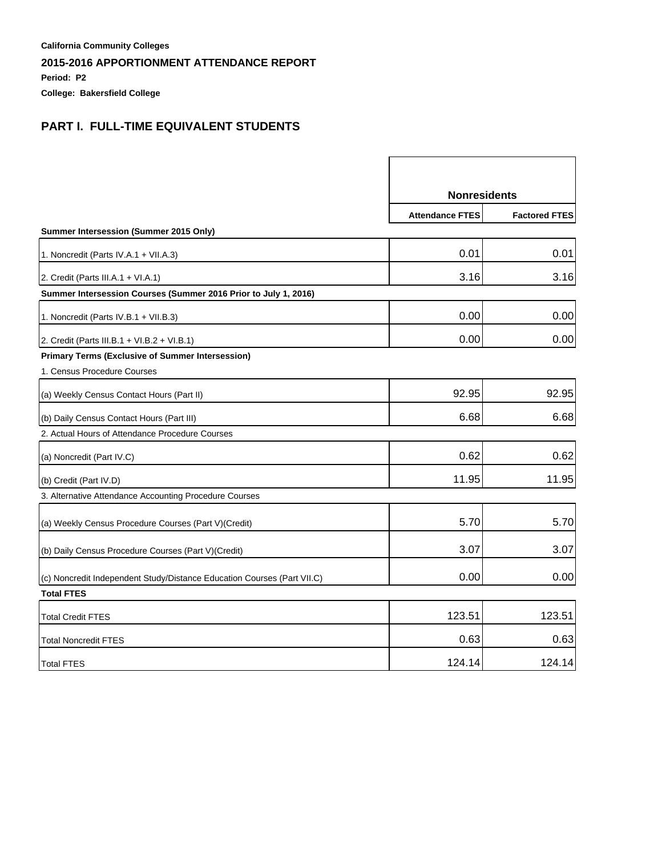**Period: P2**

**College: Bakersfield College**

# **PART I. FULL-TIME EQUIVALENT STUDENTS**

|                                                                         | <b>Nonresidents</b>    |                      |
|-------------------------------------------------------------------------|------------------------|----------------------|
|                                                                         | <b>Attendance FTES</b> | <b>Factored FTES</b> |
| Summer Intersession (Summer 2015 Only)                                  |                        |                      |
| 1. Noncredit (Parts IV.A.1 + VII.A.3)                                   | 0.01                   | 0.01                 |
| 2. Credit (Parts III.A.1 + VI.A.1)                                      | 3.16                   | 3.16                 |
| Summer Intersession Courses (Summer 2016 Prior to July 1, 2016)         |                        |                      |
| 1. Noncredit (Parts IV.B.1 + VII.B.3)                                   | 0.00                   | 0.00                 |
| 2. Credit (Parts III.B.1 + VI.B.2 + VI.B.1)                             | 0.00                   | 0.00                 |
| <b>Primary Terms (Exclusive of Summer Intersession)</b>                 |                        |                      |
| 1. Census Procedure Courses                                             |                        |                      |
| (a) Weekly Census Contact Hours (Part II)                               | 92.95                  | 92.95                |
| (b) Daily Census Contact Hours (Part III)                               | 6.68                   | 6.68                 |
| 2. Actual Hours of Attendance Procedure Courses                         |                        |                      |
| (a) Noncredit (Part IV.C)                                               | 0.62                   | 0.62                 |
| (b) Credit (Part IV.D)                                                  | 11.95                  | 11.95                |
| 3. Alternative Attendance Accounting Procedure Courses                  |                        |                      |
| (a) Weekly Census Procedure Courses (Part V) (Credit)                   | 5.70                   | 5.70                 |
| (b) Daily Census Procedure Courses (Part V) (Credit)                    | 3.07                   | 3.07                 |
| (c) Noncredit Independent Study/Distance Education Courses (Part VII.C) | 0.00                   | 0.00                 |
| <b>Total FTES</b>                                                       |                        |                      |
| <b>Total Credit FTES</b>                                                | 123.51                 | 123.51               |
| <b>Total Noncredit FTES</b>                                             | 0.63                   | 0.63                 |
| <b>Total FTES</b>                                                       | 124.14                 | 124.14               |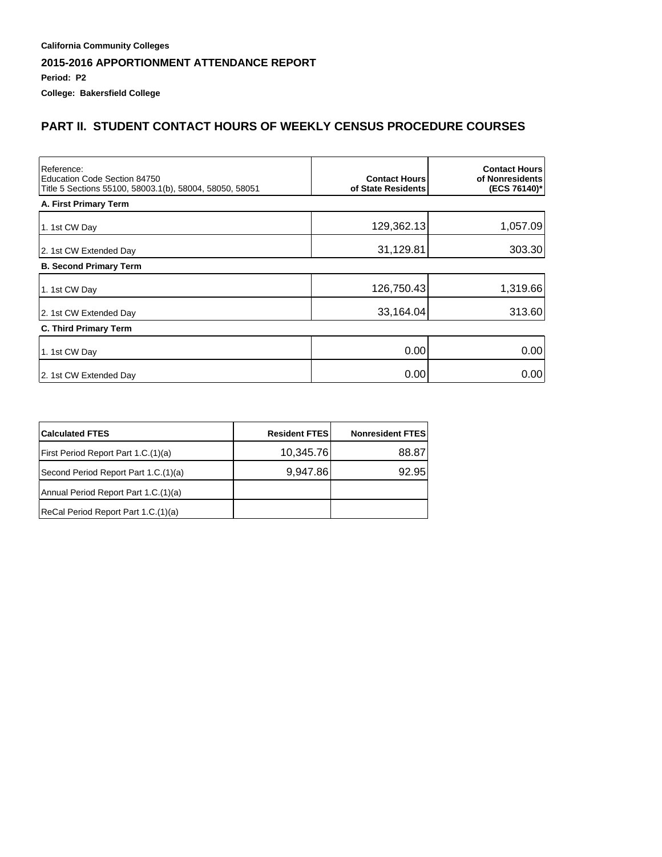**Period: P2**

**College: Bakersfield College**

# **PART II. STUDENT CONTACT HOURS OF WEEKLY CENSUS PROCEDURE COURSES**

| Reference:<br>Education Code Section 84750<br>Title 5 Sections 55100, 58003.1(b), 58004, 58050, 58051 | <b>Contact Hours</b><br>of State Residents | <b>Contact Hours</b><br>of Nonresidents<br>(ECS 76140)* |
|-------------------------------------------------------------------------------------------------------|--------------------------------------------|---------------------------------------------------------|
| A. First Primary Term                                                                                 |                                            |                                                         |
| 1. 1st CW Day                                                                                         | 129,362.13                                 | 1,057.09                                                |
| 2. 1st CW Extended Day                                                                                | 31,129.81                                  | 303.30                                                  |
| <b>B. Second Primary Term</b>                                                                         |                                            |                                                         |
| 1. 1st CW Day                                                                                         | 126,750.43                                 | 1,319.66                                                |
| 2. 1st CW Extended Day                                                                                | 33,164.04                                  | 313.60                                                  |
| <b>C. Third Primary Term</b>                                                                          |                                            |                                                         |
| 1. 1st CW Day                                                                                         | 0.00                                       | 0.00                                                    |
| 2. 1st CW Extended Day                                                                                | 0.00                                       | 0.00                                                    |

| <b>Calculated FTES</b>               | <b>Resident FTES</b> | <b>Nonresident FTES</b> |
|--------------------------------------|----------------------|-------------------------|
| First Period Report Part 1.C.(1)(a)  | 10,345.76            | 88.87                   |
| Second Period Report Part 1.C.(1)(a) | 9,947.86             | 92.95                   |
| Annual Period Report Part 1.C.(1)(a) |                      |                         |
| ReCal Period Report Part 1.C.(1)(a)  |                      |                         |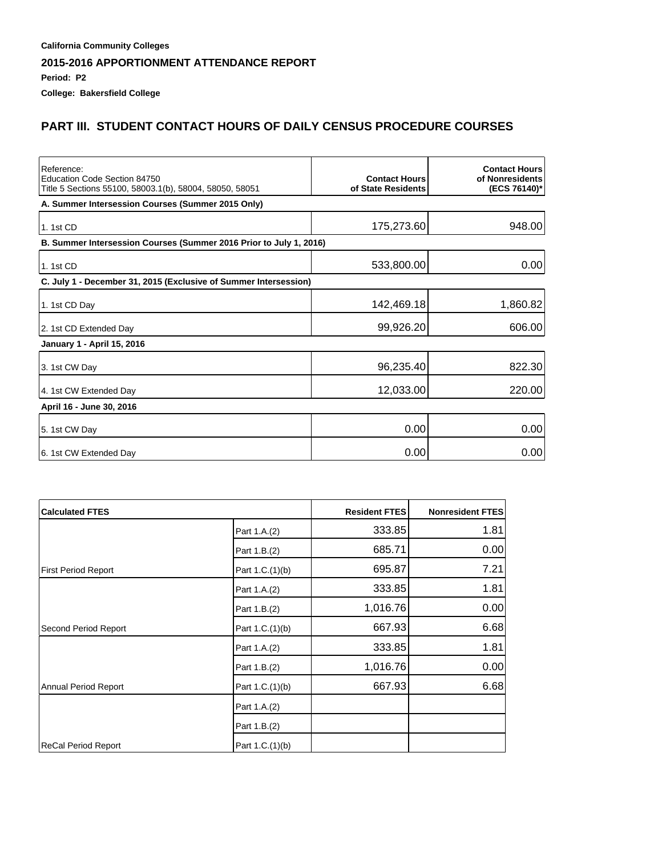**Period: P2**

**College: Bakersfield College**

# **PART III. STUDENT CONTACT HOURS OF DAILY CENSUS PROCEDURE COURSES**

| Reference:<br>Education Code Section 84750<br>Title 5 Sections 55100, 58003.1(b), 58004, 58050, 58051 | <b>Contact Hours</b><br>of State Residents | <b>Contact Hours</b><br>of Nonresidents<br>(ECS 76140)* |
|-------------------------------------------------------------------------------------------------------|--------------------------------------------|---------------------------------------------------------|
| A. Summer Intersession Courses (Summer 2015 Only)                                                     |                                            |                                                         |
| 1. 1st CD                                                                                             | 175,273.60                                 | 948.00                                                  |
| B. Summer Intersession Courses (Summer 2016 Prior to July 1, 2016)                                    |                                            |                                                         |
| 1.1st CD                                                                                              | 533,800.00                                 | 0.00                                                    |
| C. July 1 - December 31, 2015 (Exclusive of Summer Intersession)                                      |                                            |                                                         |
| 1. 1st CD Day                                                                                         | 142,469.18                                 | 1,860.82                                                |
| 2. 1st CD Extended Day                                                                                | 99,926.20                                  | 606.00                                                  |
| January 1 - April 15, 2016                                                                            |                                            |                                                         |
| 3. 1st CW Day                                                                                         | 96,235.40                                  | 822.30                                                  |
| 4. 1st CW Extended Day                                                                                | 12,033.00                                  | 220.00                                                  |
| April 16 - June 30, 2016                                                                              |                                            |                                                         |
| 5. 1st CW Day                                                                                         | 0.00                                       | 0.00                                                    |
| 6. 1st CW Extended Day                                                                                | 0.00                                       | 0.00                                                    |

| <b>Calculated FTES</b>     |                 | <b>Resident FTES</b> | <b>Nonresident FTES</b> |
|----------------------------|-----------------|----------------------|-------------------------|
|                            | Part 1.A.(2)    | 333.85               | 1.81                    |
|                            | Part 1.B.(2)    | 685.71               | 0.00                    |
| <b>First Period Report</b> | Part 1.C.(1)(b) | 695.87               | 7.21                    |
|                            | Part 1.A.(2)    | 333.85               | 1.81                    |
|                            | Part 1.B.(2)    | 1,016.76             | 0.00                    |
| Second Period Report       | Part 1.C.(1)(b) | 667.93               | 6.68                    |
|                            | Part 1.A.(2)    | 333.85               | 1.81                    |
|                            | Part 1.B.(2)    | 1,016.76             | 0.00                    |
| Annual Period Report       | Part 1.C.(1)(b) | 667.93               | 6.68                    |
|                            | Part 1.A.(2)    |                      |                         |
|                            | Part 1.B.(2)    |                      |                         |
| ReCal Period Report        | Part 1.C.(1)(b) |                      |                         |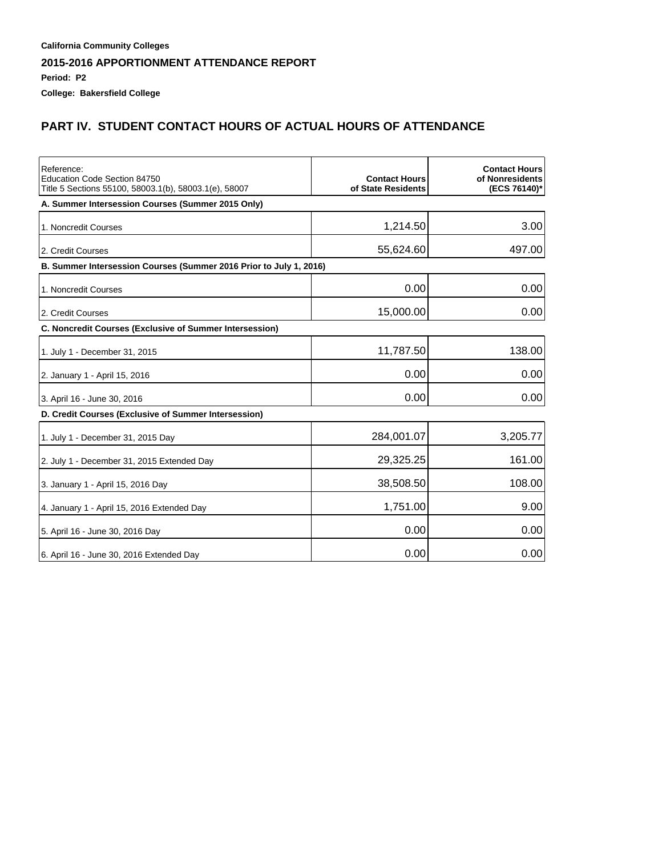**Period: P2**

**College: Bakersfield College**

# **PART IV. STUDENT CONTACT HOURS OF ACTUAL HOURS OF ATTENDANCE**

| Reference:<br>Education Code Section 84750<br>Title 5 Sections 55100, 58003.1(b), 58003.1(e), 58007 | <b>Contact Hours</b><br>of State Residents | <b>Contact Hours</b><br>of Nonresidents<br>(ECS 76140)* |
|-----------------------------------------------------------------------------------------------------|--------------------------------------------|---------------------------------------------------------|
| A. Summer Intersession Courses (Summer 2015 Only)                                                   |                                            |                                                         |
| 1. Noncredit Courses                                                                                | 1,214.50                                   | 3.00                                                    |
| 2. Credit Courses                                                                                   | 55,624.60                                  | 497.00                                                  |
| B. Summer Intersession Courses (Summer 2016 Prior to July 1, 2016)                                  |                                            |                                                         |
| 1. Noncredit Courses                                                                                | 0.00                                       | 0.00                                                    |
| 2. Credit Courses                                                                                   | 15,000.00                                  | 0.00                                                    |
| C. Noncredit Courses (Exclusive of Summer Intersession)                                             |                                            |                                                         |
| 1. July 1 - December 31, 2015                                                                       | 11,787.50                                  | 138.00                                                  |
| 2. January 1 - April 15, 2016                                                                       | 0.00                                       | 0.00                                                    |
| 3. April 16 - June 30, 2016                                                                         | 0.00                                       | 0.00                                                    |
| D. Credit Courses (Exclusive of Summer Intersession)                                                |                                            |                                                         |
| 1. July 1 - December 31, 2015 Day                                                                   | 284,001.07                                 | 3,205.77                                                |
| 2. July 1 - December 31, 2015 Extended Day                                                          | 29,325.25                                  | 161.00                                                  |
| 3. January 1 - April 15, 2016 Day                                                                   | 38,508.50                                  | 108.00                                                  |
| 4. January 1 - April 15, 2016 Extended Day                                                          | 1,751.00                                   | 9.00                                                    |
| 5. April 16 - June 30, 2016 Day                                                                     | 0.00                                       | 0.00                                                    |
| 6. April 16 - June 30, 2016 Extended Day                                                            | 0.00                                       | 0.00                                                    |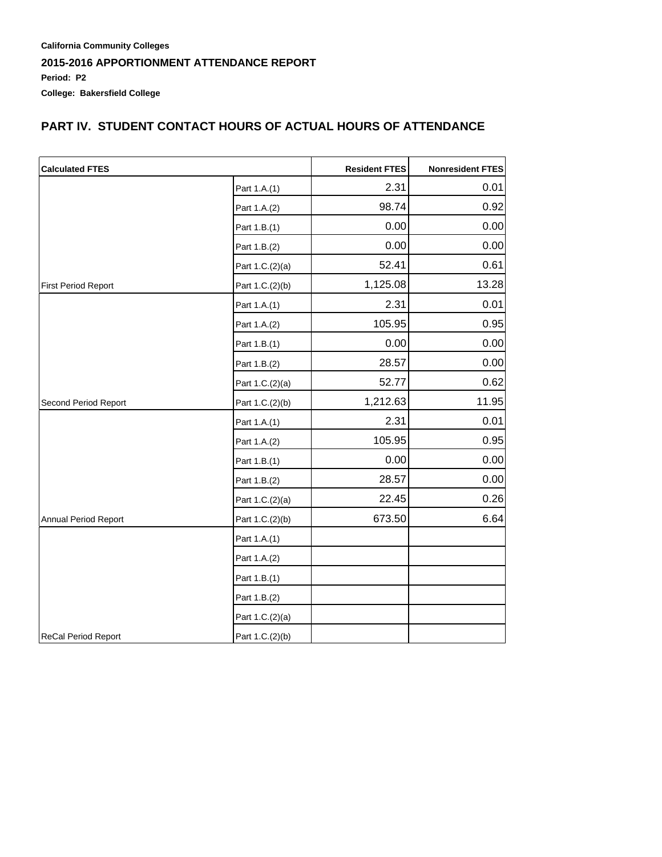### **PART IV. STUDENT CONTACT HOURS OF ACTUAL HOURS OF ATTENDANCE**

| <b>Calculated FTES</b>     |                 | <b>Resident FTES</b> | Nonresident FTES |
|----------------------------|-----------------|----------------------|------------------|
|                            | Part 1.A.(1)    | 2.31                 | 0.01             |
|                            | Part 1.A.(2)    | 98.74                | 0.92             |
|                            | Part 1.B.(1)    | 0.00                 | 0.00             |
|                            | Part 1.B.(2)    | 0.00                 | 0.00             |
|                            | Part 1.C.(2)(a) | 52.41                | 0.61             |
| First Period Report        | Part 1.C.(2)(b) | 1,125.08             | 13.28            |
|                            | Part 1.A.(1)    | 2.31                 | 0.01             |
|                            | Part 1.A.(2)    | 105.95               | 0.95             |
|                            | Part 1.B.(1)    | 0.00                 | 0.00             |
|                            | Part 1.B.(2)    | 28.57                | 0.00             |
|                            | Part 1.C.(2)(a) | 52.77                | 0.62             |
| Second Period Report       | Part 1.C.(2)(b) | 1,212.63             | 11.95            |
|                            | Part 1.A.(1)    | 2.31                 | 0.01             |
|                            | Part 1.A.(2)    | 105.95               | 0.95             |
|                            | Part 1.B.(1)    | 0.00                 | 0.00             |
|                            | Part 1.B.(2)    | 28.57                | 0.00             |
|                            | Part 1.C.(2)(a) | 22.45                | 0.26             |
| Annual Period Report       | Part 1.C.(2)(b) | 673.50               | 6.64             |
|                            | Part 1.A.(1)    |                      |                  |
|                            | Part 1.A.(2)    |                      |                  |
|                            | Part 1.B.(1)    |                      |                  |
|                            | Part 1.B.(2)    |                      |                  |
|                            | Part 1.C.(2)(a) |                      |                  |
| <b>ReCal Period Report</b> | Part 1.C.(2)(b) |                      |                  |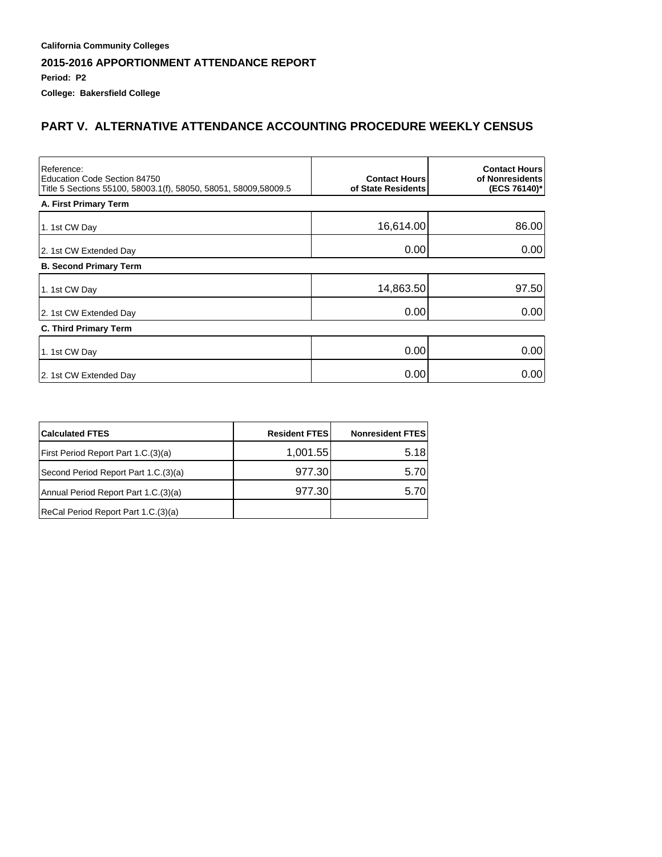**Period: P2**

**College: Bakersfield College**

# **PART V. ALTERNATIVE ATTENDANCE ACCOUNTING PROCEDURE WEEKLY CENSUS**

| Reference:<br>Education Code Section 84750<br>Title 5 Sections 55100, 58003.1(f), 58050, 58051, 58009,58009.5 | <b>Contact Hours</b><br>of State Residents | <b>Contact Hours</b><br>of Nonresidents<br>(ECS 76140)* |
|---------------------------------------------------------------------------------------------------------------|--------------------------------------------|---------------------------------------------------------|
| A. First Primary Term                                                                                         |                                            |                                                         |
| 1. 1st CW Day                                                                                                 | 16,614.00                                  | 86.00                                                   |
| 2. 1st CW Extended Day                                                                                        | 0.00                                       | 0.00                                                    |
| <b>B. Second Primary Term</b>                                                                                 |                                            |                                                         |
| 1. 1st CW Day                                                                                                 | 14,863.50                                  | 97.50                                                   |
| 2. 1st CW Extended Day                                                                                        | 0.00                                       | 0.00                                                    |
| C. Third Primary Term                                                                                         |                                            |                                                         |
| 1. 1st CW Day                                                                                                 | 0.00                                       | 0.00                                                    |
| 2. 1st CW Extended Day                                                                                        | 0.00                                       | 0.00                                                    |

| <b>Calculated FTES</b>               | <b>Resident FTES</b> | <b>Nonresident FTES</b> |
|--------------------------------------|----------------------|-------------------------|
| First Period Report Part 1.C.(3)(a)  | 1,001.55             | 5.18                    |
| Second Period Report Part 1.C.(3)(a) | 977.30               | 5.70                    |
| Annual Period Report Part 1.C.(3)(a) | 977.30               | 5.70                    |
| ReCal Period Report Part 1.C.(3)(a)  |                      |                         |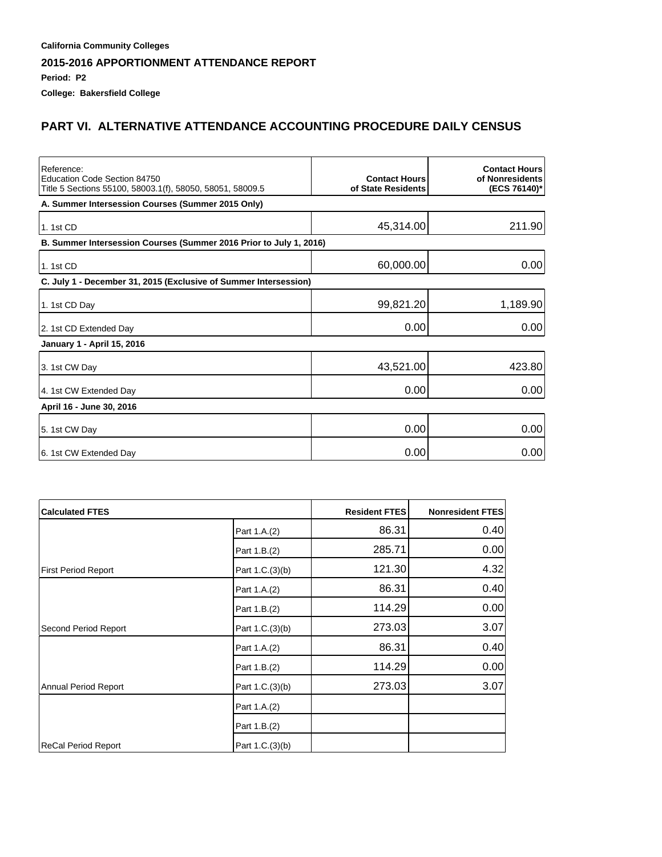**Period: P2**

**College: Bakersfield College**

# **PART VI. ALTERNATIVE ATTENDANCE ACCOUNTING PROCEDURE DAILY CENSUS**

| Reference:<br>Education Code Section 84750<br>Title 5 Sections 55100, 58003.1(f), 58050, 58051, 58009.5 | <b>Contact Hours</b><br>of State Residents | <b>Contact Hours</b><br>of Nonresidents<br>(ECS 76140)* |
|---------------------------------------------------------------------------------------------------------|--------------------------------------------|---------------------------------------------------------|
| A. Summer Intersession Courses (Summer 2015 Only)                                                       |                                            |                                                         |
| 1. 1st CD                                                                                               | 45,314.00                                  | 211.90                                                  |
| B. Summer Intersession Courses (Summer 2016 Prior to July 1, 2016)                                      |                                            |                                                         |
| 1. 1st CD                                                                                               | 60,000.00                                  | 0.00                                                    |
| C. July 1 - December 31, 2015 (Exclusive of Summer Intersession)                                        |                                            |                                                         |
| 1. 1st CD Day                                                                                           | 99,821.20                                  | 1,189.90                                                |
| 2. 1st CD Extended Day                                                                                  | 0.00                                       | 0.00                                                    |
| January 1 - April 15, 2016                                                                              |                                            |                                                         |
| 3. 1st CW Day                                                                                           | 43,521.00                                  | 423.80                                                  |
| 4. 1st CW Extended Day                                                                                  | 0.00                                       | 0.00                                                    |
| April 16 - June 30, 2016                                                                                |                                            |                                                         |
| 5. 1st CW Day                                                                                           | 0.00                                       | 0.00                                                    |
| 6. 1st CW Extended Day                                                                                  | 0.00                                       | 0.00                                                    |

| <b>Calculated FTES</b>     |                 | <b>Resident FTES</b> | Nonresident FTES |
|----------------------------|-----------------|----------------------|------------------|
|                            | Part 1.A.(2)    | 86.31                | 0.40             |
|                            | Part 1.B.(2)    | 285.71               | 0.00             |
| <b>First Period Report</b> | Part 1.C.(3)(b) | 121.30               | 4.32             |
|                            | Part 1.A.(2)    | 86.31                | 0.40             |
|                            | Part 1.B.(2)    | 114.29               | 0.00             |
| Second Period Report       | Part 1.C.(3)(b) | 273.03               | 3.07             |
|                            | Part 1.A.(2)    | 86.31                | 0.40             |
|                            | Part 1.B.(2)    | 114.29               | 0.00             |
| Annual Period Report       | Part 1.C.(3)(b) | 273.03               | 3.07             |
|                            | Part 1.A.(2)    |                      |                  |
|                            | Part 1.B.(2)    |                      |                  |
| ReCal Period Report        | Part 1.C.(3)(b) |                      |                  |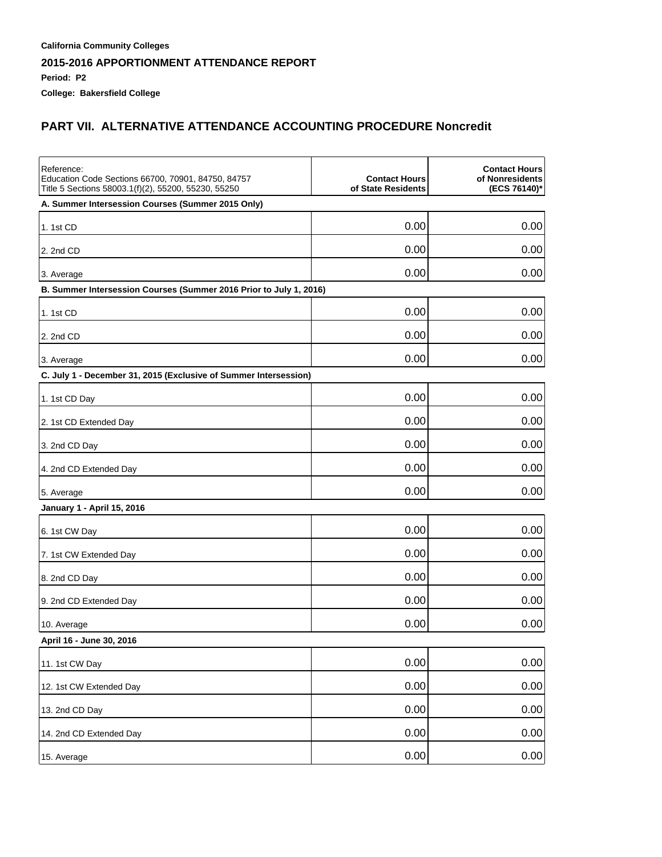**Period: P2**

**College: Bakersfield College**

# **PART VII. ALTERNATIVE ATTENDANCE ACCOUNTING PROCEDURE Noncredit**

| Reference:<br>Education Code Sections 66700, 70901, 84750, 84757<br>Title 5 Sections 58003.1(f)(2), 55200, 55230, 55250 | <b>Contact Hours</b><br>of State Residents | <b>Contact Hours</b><br>of Nonresidents<br>(ECS 76140)* |
|-------------------------------------------------------------------------------------------------------------------------|--------------------------------------------|---------------------------------------------------------|
| A. Summer Intersession Courses (Summer 2015 Only)                                                                       |                                            |                                                         |
| 1. 1st CD                                                                                                               | 0.00                                       | 0.00                                                    |
| 2. 2nd CD                                                                                                               | 0.00                                       | 0.00                                                    |
| 3. Average                                                                                                              | 0.00                                       | 0.00                                                    |
| B. Summer Intersession Courses (Summer 2016 Prior to July 1, 2016)                                                      |                                            |                                                         |
| 1. 1st CD                                                                                                               | 0.00                                       | 0.00                                                    |
| 2. 2nd CD                                                                                                               | 0.00                                       | 0.00                                                    |
| 3. Average                                                                                                              | 0.00                                       | 0.00                                                    |
| C. July 1 - December 31, 2015 (Exclusive of Summer Intersession)                                                        |                                            |                                                         |
| 1. 1st CD Day                                                                                                           | 0.00                                       | 0.00                                                    |
| 2. 1st CD Extended Day                                                                                                  | 0.00                                       | 0.00                                                    |
| 3. 2nd CD Day                                                                                                           | 0.00                                       | 0.00                                                    |
| 4. 2nd CD Extended Day                                                                                                  | 0.00                                       | 0.00                                                    |
| 5. Average                                                                                                              | 0.00                                       | 0.00                                                    |
| January 1 - April 15, 2016                                                                                              |                                            |                                                         |
| 6. 1st CW Day                                                                                                           | 0.00                                       | 0.00                                                    |
| 7. 1st CW Extended Day                                                                                                  | 0.00                                       | 0.00                                                    |
| 8. 2nd CD Day                                                                                                           | 0.00                                       | 0.00                                                    |
| 9. 2nd CD Extended Day                                                                                                  | 0.00                                       | 0.00                                                    |
| 10. Average                                                                                                             | 0.00                                       | 0.00                                                    |
| April 16 - June 30, 2016                                                                                                |                                            |                                                         |
| 11. 1st CW Day                                                                                                          | 0.00                                       | 0.00                                                    |
| 12. 1st CW Extended Day                                                                                                 | 0.00                                       | 0.00                                                    |
| 13. 2nd CD Day                                                                                                          | 0.00                                       | 0.00                                                    |
| 14. 2nd CD Extended Day                                                                                                 | 0.00                                       | 0.00                                                    |
| 15. Average                                                                                                             | 0.00                                       | 0.00                                                    |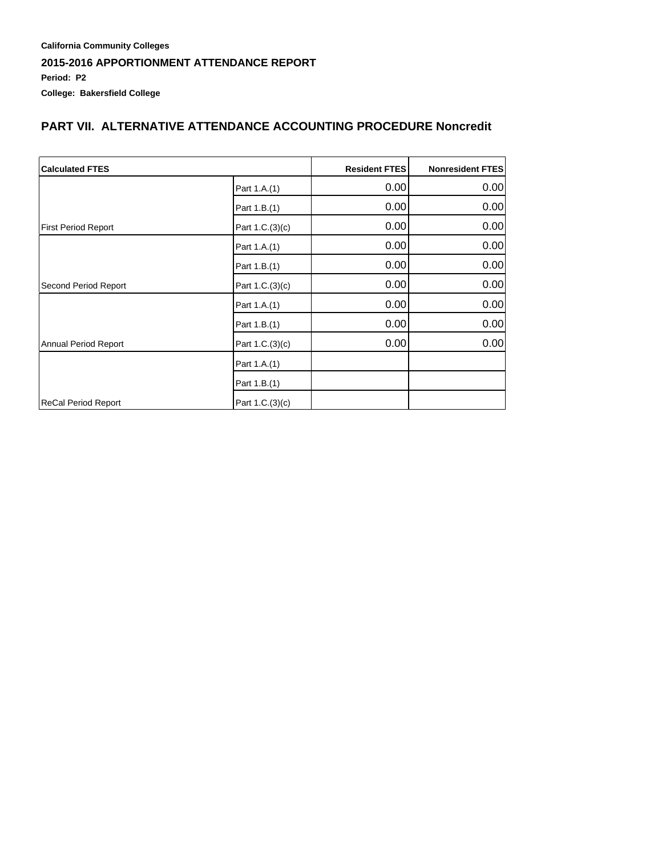### **California Community Colleges 2015-2016 APPORTIONMENT ATTENDANCE REPORT Period: P2 College: Bakersfield College**

#### **PART VII. ALTERNATIVE ATTENDANCE ACCOUNTING PROCEDURE Noncredit**

| <b>Calculated FTES</b>     |                 | <b>Resident FTES</b> | <b>Nonresident FTES</b> |
|----------------------------|-----------------|----------------------|-------------------------|
|                            | Part 1.A.(1)    | 0.00                 | 0.00                    |
|                            | Part 1.B.(1)    | 0.00                 | 0.00                    |
| <b>First Period Report</b> | Part 1.C.(3)(c) | 0.00                 | 0.00                    |
|                            | Part 1.A.(1)    | 0.00                 | 0.00                    |
|                            | Part 1.B.(1)    | 0.00                 | 0.00                    |
| Second Period Report       | Part 1.C.(3)(c) | 0.00                 | 0.00                    |
|                            | Part 1.A.(1)    | 0.00                 | 0.00                    |
|                            | Part 1.B.(1)    | 0.00                 | 0.00                    |
| Annual Period Report       | Part 1.C.(3)(c) | 0.00                 | 0.00                    |
|                            | Part 1.A.(1)    |                      |                         |
|                            | Part 1.B.(1)    |                      |                         |
| ReCal Period Report        | Part 1.C.(3)(c) |                      |                         |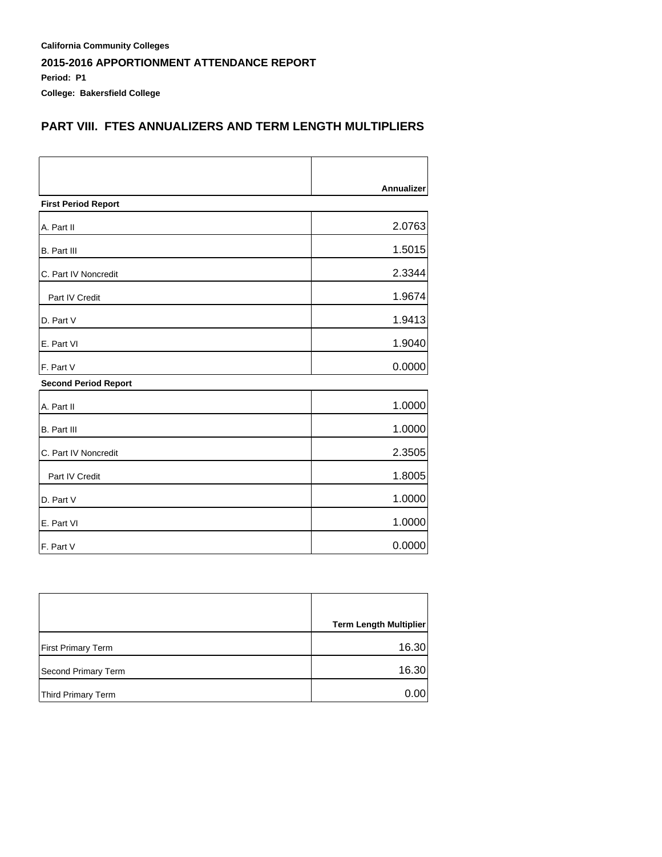**California Community Colleges 2015-2016 APPORTIONMENT ATTENDANCE REPORT Period: P1 College: Bakersfield College**

### **PART VIII. FTES ANNUALIZERS AND TERM LENGTH MULTIPLIERS**

|                             | Annualizer |
|-----------------------------|------------|
| <b>First Period Report</b>  |            |
| A. Part II                  | 2.0763     |
| <b>B.</b> Part III          | 1.5015     |
| C. Part IV Noncredit        | 2.3344     |
| Part IV Credit              | 1.9674     |
| D. Part V                   | 1.9413     |
| E. Part VI                  | 1.9040     |
| F. Part V                   | 0.0000     |
| <b>Second Period Report</b> |            |
| A. Part II                  | 1.0000     |
| <b>B.</b> Part III          | 1.0000     |
| C. Part IV Noncredit        | 2.3505     |
| Part IV Credit              | 1.8005     |
| D. Part V                   | 1.0000     |
| E. Part VI                  | 1.0000     |
| F. Part V                   | 0.0000     |

|                           | <b>Term Length Multiplier</b> |
|---------------------------|-------------------------------|
| <b>First Primary Term</b> | 16.30                         |
| Second Primary Term       | 16.30                         |
| Third Primary Term        | 0.001                         |